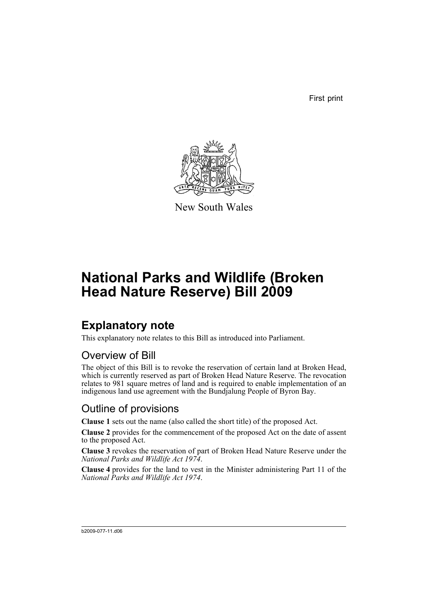First print



New South Wales

# **National Parks and Wildlife (Broken Head Nature Reserve) Bill 2009**

## **Explanatory note**

This explanatory note relates to this Bill as introduced into Parliament.

#### Overview of Bill

The object of this Bill is to revoke the reservation of certain land at Broken Head, which is currently reserved as part of Broken Head Nature Reserve. The revocation relates to 981 square metres of land and is required to enable implementation of an indigenous land use agreement with the Bundjalung People of Byron Bay.

#### Outline of provisions

**Clause 1** sets out the name (also called the short title) of the proposed Act.

**Clause 2** provides for the commencement of the proposed Act on the date of assent to the proposed Act.

**Clause 3** revokes the reservation of part of Broken Head Nature Reserve under the *National Parks and Wildlife Act 1974*.

**Clause 4** provides for the land to vest in the Minister administering Part 11 of the *National Parks and Wildlife Act 1974*.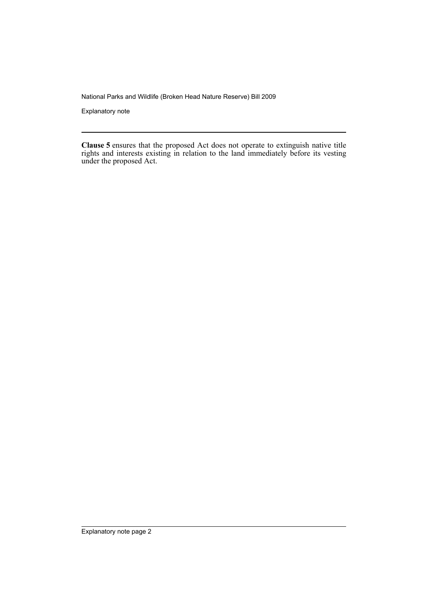National Parks and Wildlife (Broken Head Nature Reserve) Bill 2009

Explanatory note

**Clause 5** ensures that the proposed Act does not operate to extinguish native title rights and interests existing in relation to the land immediately before its vesting under the proposed Act.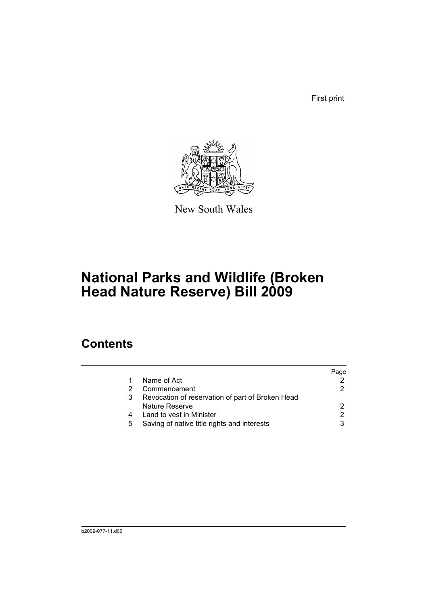First print



New South Wales

# **National Parks and Wildlife (Broken Head Nature Reserve) Bill 2009**

### **Contents**

|   |                                                  | Page |
|---|--------------------------------------------------|------|
|   | Name of Act                                      |      |
|   | Commencement                                     |      |
| 3 | Revocation of reservation of part of Broken Head |      |
|   | Nature Reserve                                   |      |
| 4 | Land to vest in Minister                         |      |
| 5 | Saving of native title rights and interests      |      |
|   |                                                  |      |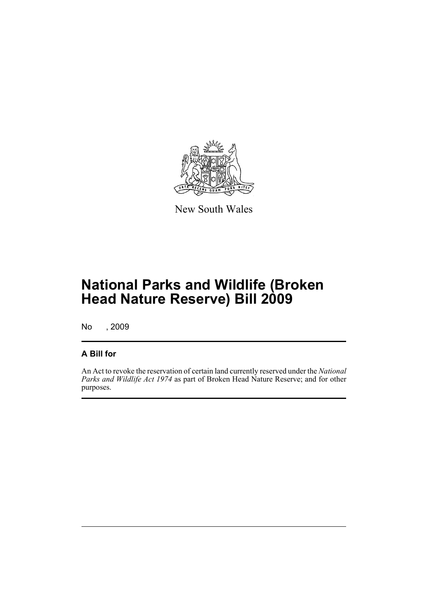

New South Wales

# **National Parks and Wildlife (Broken Head Nature Reserve) Bill 2009**

No , 2009

#### **A Bill for**

An Act to revoke the reservation of certain land currently reserved under the *National Parks and Wildlife Act 1974* as part of Broken Head Nature Reserve; and for other purposes.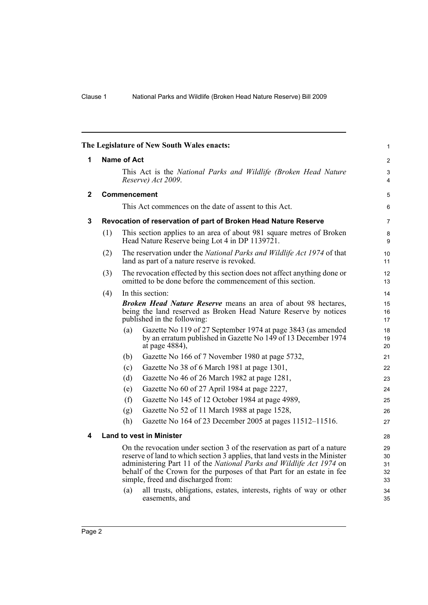<span id="page-5-3"></span><span id="page-5-2"></span><span id="page-5-1"></span><span id="page-5-0"></span>

| The Legislature of New South Wales enacts: |                                                                                                                                                                                                                                                                                                                                                 |                                                                                                                                                                          |                                                                                                                                                 |                |  |  |
|--------------------------------------------|-------------------------------------------------------------------------------------------------------------------------------------------------------------------------------------------------------------------------------------------------------------------------------------------------------------------------------------------------|--------------------------------------------------------------------------------------------------------------------------------------------------------------------------|-------------------------------------------------------------------------------------------------------------------------------------------------|----------------|--|--|
| 1                                          | <b>Name of Act</b>                                                                                                                                                                                                                                                                                                                              |                                                                                                                                                                          |                                                                                                                                                 |                |  |  |
|                                            | This Act is the National Parks and Wildlife (Broken Head Nature<br>Reserve) Act 2009.                                                                                                                                                                                                                                                           |                                                                                                                                                                          |                                                                                                                                                 |                |  |  |
| $\mathbf{2}$                               | Commencement                                                                                                                                                                                                                                                                                                                                    |                                                                                                                                                                          |                                                                                                                                                 |                |  |  |
|                                            | This Act commences on the date of assent to this Act.                                                                                                                                                                                                                                                                                           |                                                                                                                                                                          |                                                                                                                                                 |                |  |  |
| 3                                          | Revocation of reservation of part of Broken Head Nature Reserve                                                                                                                                                                                                                                                                                 |                                                                                                                                                                          |                                                                                                                                                 |                |  |  |
|                                            | (1)                                                                                                                                                                                                                                                                                                                                             | This section applies to an area of about 981 square metres of Broken<br>Head Nature Reserve being Lot 4 in DP 1139721.                                                   |                                                                                                                                                 |                |  |  |
|                                            | (2)                                                                                                                                                                                                                                                                                                                                             | The reservation under the National Parks and Wildlife Act 1974 of that<br>land as part of a nature reserve is revoked.                                                   |                                                                                                                                                 |                |  |  |
|                                            | The revocation effected by this section does not affect anything done or<br>(3)<br>omitted to be done before the commencement of this section.                                                                                                                                                                                                  |                                                                                                                                                                          |                                                                                                                                                 |                |  |  |
|                                            | (4)                                                                                                                                                                                                                                                                                                                                             |                                                                                                                                                                          | In this section:                                                                                                                                | 14             |  |  |
|                                            |                                                                                                                                                                                                                                                                                                                                                 | <b>Broken Head Nature Reserve</b> means an area of about 98 hectares,<br>being the land reserved as Broken Head Nature Reserve by notices<br>published in the following: |                                                                                                                                                 |                |  |  |
|                                            |                                                                                                                                                                                                                                                                                                                                                 | (a)                                                                                                                                                                      | Gazette No 119 of 27 September 1974 at page 3843 (as amended<br>by an erratum published in Gazette No 149 of 13 December 1974<br>at page 4884), | 18<br>19<br>20 |  |  |
|                                            |                                                                                                                                                                                                                                                                                                                                                 | (b)                                                                                                                                                                      | Gazette No 166 of 7 November 1980 at page 5732,                                                                                                 | 21             |  |  |
|                                            |                                                                                                                                                                                                                                                                                                                                                 | (c)                                                                                                                                                                      | Gazette No 38 of 6 March 1981 at page 1301,                                                                                                     | 22             |  |  |
|                                            |                                                                                                                                                                                                                                                                                                                                                 | (d)                                                                                                                                                                      | Gazette No 46 of 26 March 1982 at page 1281,                                                                                                    | 23             |  |  |
|                                            |                                                                                                                                                                                                                                                                                                                                                 | (e)                                                                                                                                                                      | Gazette No 60 of 27 April 1984 at page 2227,                                                                                                    | 24             |  |  |
|                                            |                                                                                                                                                                                                                                                                                                                                                 | (f)                                                                                                                                                                      | Gazette No 145 of 12 October 1984 at page 4989,                                                                                                 | 25             |  |  |
|                                            |                                                                                                                                                                                                                                                                                                                                                 | (g)                                                                                                                                                                      | Gazette No 52 of 11 March 1988 at page 1528,                                                                                                    | 26             |  |  |
|                                            |                                                                                                                                                                                                                                                                                                                                                 | (h)                                                                                                                                                                      | Gazette No 164 of 23 December 2005 at pages 11512-11516.                                                                                        | 27             |  |  |
| 4                                          |                                                                                                                                                                                                                                                                                                                                                 |                                                                                                                                                                          | <b>Land to vest in Minister</b>                                                                                                                 | 28             |  |  |
|                                            | On the revocation under section 3 of the reservation as part of a nature<br>reserve of land to which section 3 applies, that land vests in the Minister<br>administering Part 11 of the National Parks and Wildlife Act 1974 on<br>behalf of the Crown for the purposes of that Part for an estate in fee<br>simple, freed and discharged from: |                                                                                                                                                                          |                                                                                                                                                 |                |  |  |
|                                            |                                                                                                                                                                                                                                                                                                                                                 | (a)                                                                                                                                                                      | all trusts, obligations, estates, interests, rights of way or other<br>easements, and                                                           | 34<br>35       |  |  |